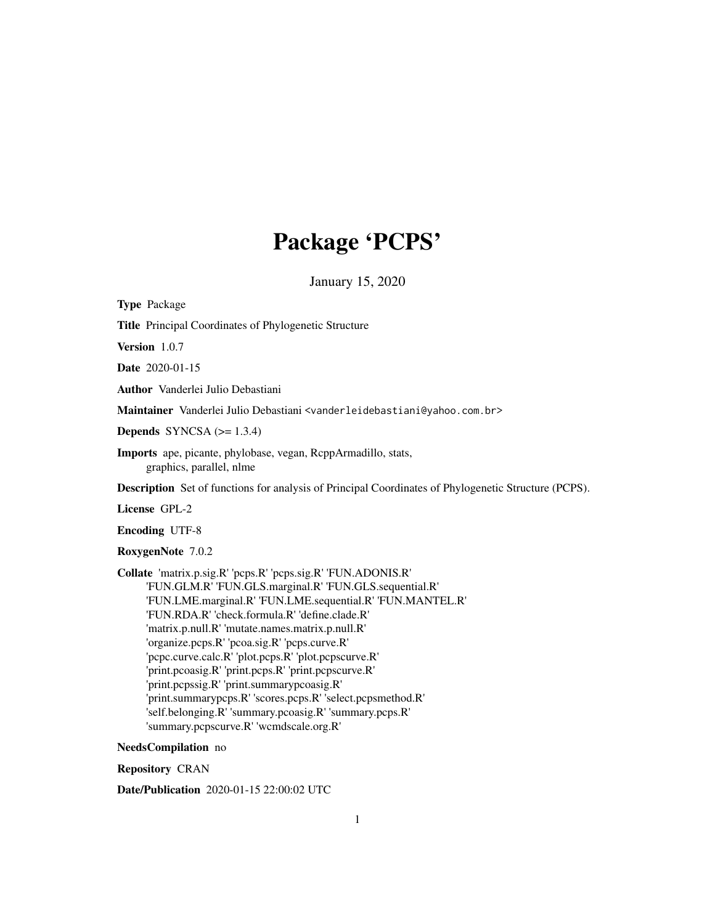# Package 'PCPS'

January 15, 2020

<span id="page-0-0"></span>Type Package Title Principal Coordinates of Phylogenetic Structure Version 1.0.7 Date 2020-01-15 Author Vanderlei Julio Debastiani Maintainer Vanderlei Julio Debastiani <vanderleidebastiani@yahoo.com.br> Depends SYNCSA  $(>= 1.3.4)$ Imports ape, picante, phylobase, vegan, RcppArmadillo, stats, graphics, parallel, nlme Description Set of functions for analysis of Principal Coordinates of Phylogenetic Structure (PCPS). License GPL-2 Encoding UTF-8 RoxygenNote 7.0.2 Collate 'matrix.p.sig.R' 'pcps.R' 'pcps.sig.R' 'FUN.ADONIS.R' 'FUN.GLM.R' 'FUN.GLS.marginal.R' 'FUN.GLS.sequential.R' 'FUN.LME.marginal.R' 'FUN.LME.sequential.R' 'FUN.MANTEL.R' 'FUN.RDA.R' 'check.formula.R' 'define.clade.R' 'matrix.p.null.R' 'mutate.names.matrix.p.null.R' 'organize.pcps.R' 'pcoa.sig.R' 'pcps.curve.R' 'pcpc.curve.calc.R' 'plot.pcps.R' 'plot.pcpscurve.R' 'print.pcoasig.R' 'print.pcps.R' 'print.pcpscurve.R' 'print.pcpssig.R' 'print.summarypcoasig.R' 'print.summarypcps.R' 'scores.pcps.R' 'select.pcpsmethod.R' 'self.belonging.R' 'summary.pcoasig.R' 'summary.pcps.R' 'summary.pcpscurve.R' 'wcmdscale.org.R' NeedsCompilation no

Repository CRAN

Date/Publication 2020-01-15 22:00:02 UTC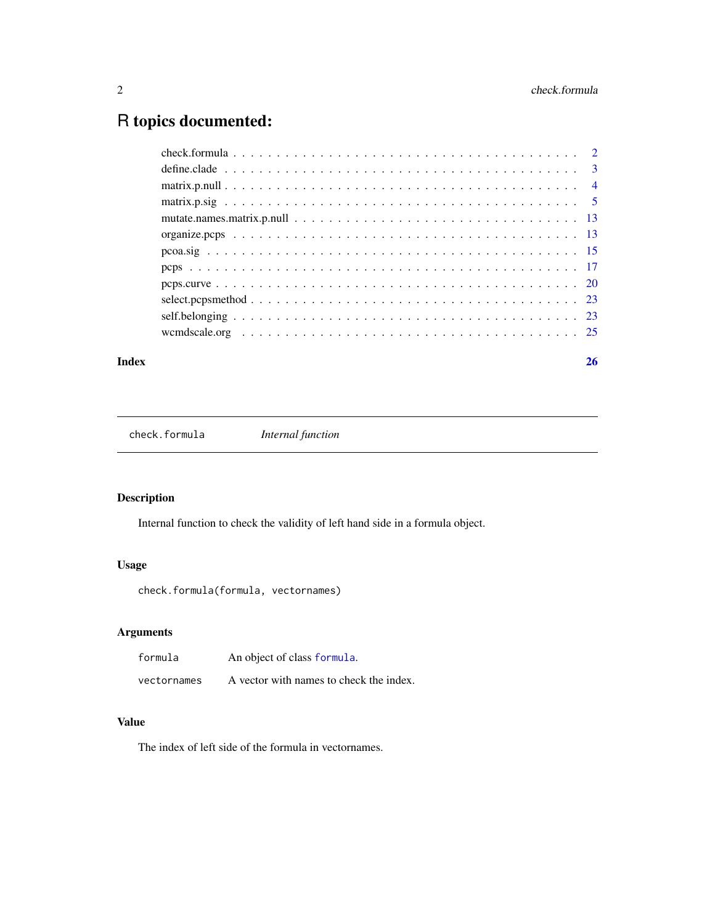## <span id="page-1-0"></span>R topics documented:

#### **Index** [26](#page-25-0)

check.formula *Internal function*

## Description

Internal function to check the validity of left hand side in a formula object.

## Usage

```
check.formula(formula, vectornames)
```
## Arguments

| formula     | An object of class formula.             |
|-------------|-----------------------------------------|
| vectornames | A vector with names to check the index. |

## Value

The index of left side of the formula in vectornames.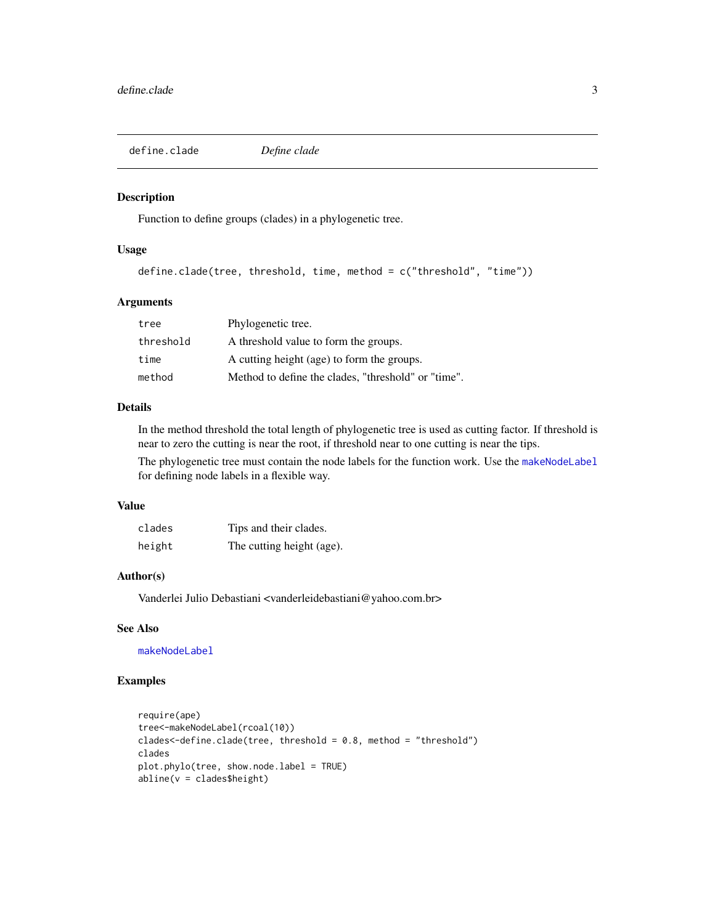<span id="page-2-0"></span>define.clade *Define clade*

#### Description

Function to define groups (clades) in a phylogenetic tree.

#### Usage

```
define.clade(tree, threshold, time, method = c("threshold", "time"))
```
## Arguments

| tree      | Phylogenetic tree.                                  |
|-----------|-----------------------------------------------------|
| threshold | A threshold value to form the groups.               |
| time      | A cutting height (age) to form the groups.          |
| method    | Method to define the clades, "threshold" or "time". |

## Details

In the method threshold the total length of phylogenetic tree is used as cutting factor. If threshold is near to zero the cutting is near the root, if threshold near to one cutting is near the tips.

The phylogenetic tree must contain the node labels for the function work. Use the [makeNodeLabel](#page-0-0) for defining node labels in a flexible way.

#### Value

| clades | Tips and their clades.    |
|--------|---------------------------|
| height | The cutting height (age). |

## Author(s)

Vanderlei Julio Debastiani <vanderleidebastiani@yahoo.com.br>

## See Also

[makeNodeLabel](#page-0-0)

## Examples

```
require(ape)
tree<-makeNodeLabel(rcoal(10))
clades<-define.clade(tree, threshold = 0.8, method = "threshold")
clades
plot.phylo(tree, show.node.label = TRUE)
abline(v = clades$height)
```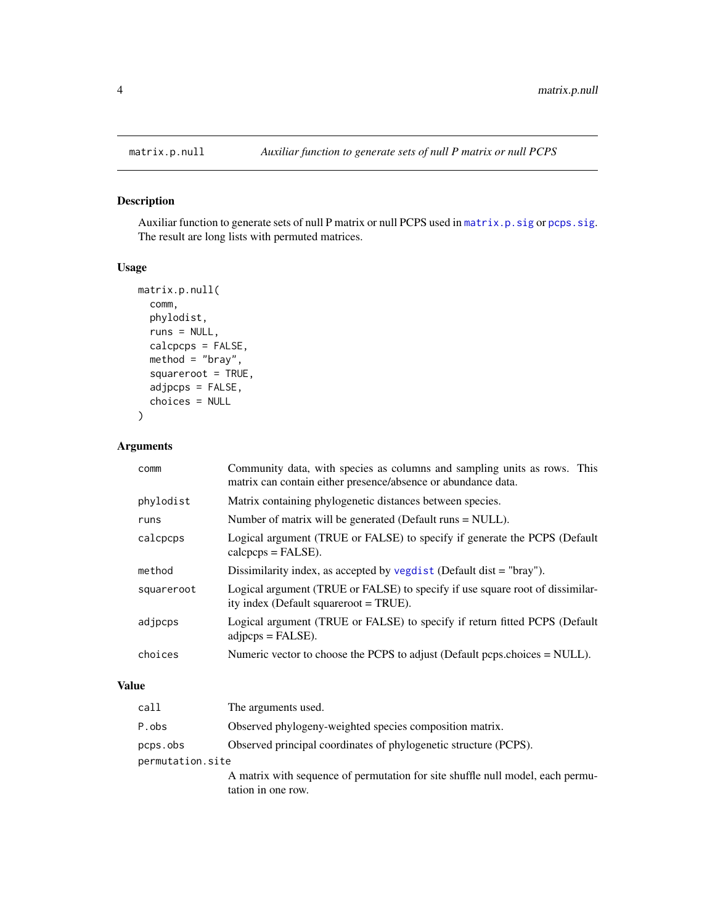<span id="page-3-1"></span><span id="page-3-0"></span>

## Description

Auxiliar function to generate sets of null P matrix or null PCPS used in [matrix.p.sig](#page-4-1) or [pcps.sig](#page-4-2). The result are long lists with permuted matrices.

#### Usage

```
matrix.p.null(
 comm,
 phylodist,
 runs = NULL,
 calcpcps = FALSE,
 method = "bray",
  squareroot = TRUE,
  adjpcps = FALSE,
 choices = NULL
)
```
## Arguments

| comm       | Community data, with species as columns and sampling units as rows. This<br>matrix can contain either presence/absence or abundance data. |
|------------|-------------------------------------------------------------------------------------------------------------------------------------------|
| phylodist  | Matrix containing phylogenetic distances between species.                                                                                 |
| runs       | Number of matrix will be generated (Default runs = NULL).                                                                                 |
| calcpcps   | Logical argument (TRUE or FALSE) to specify if generate the PCPS (Default<br>$calepeps = FALSE$ ).                                        |
| method     | Dissimilarity index, as accepted by vegdist (Default dist $=$ "bray").                                                                    |
| squareroot | Logical argument (TRUE or FALSE) to specify if use square root of dissimilar-<br>ity index (Default squareroot = TRUE).                   |
| adjpcps    | Logical argument (TRUE or FALSE) to specify if return fitted PCPS (Default<br>$adipeps = FALSE$ ).                                        |
| choices    | Numeric vector to choose the PCPS to adjust (Default pcps.choices = NULL).                                                                |

#### Value

| call             | The arguments used.                                                            |
|------------------|--------------------------------------------------------------------------------|
| P.obs            | Observed phylogeny-weighted species composition matrix.                        |
| pcps.obs         | Observed principal coordinates of phylogenetic structure (PCPS).               |
| permutation.site |                                                                                |
|                  | A matrix with sequence of permutation for site shuffle null model, each permu- |
|                  | tation in one row.                                                             |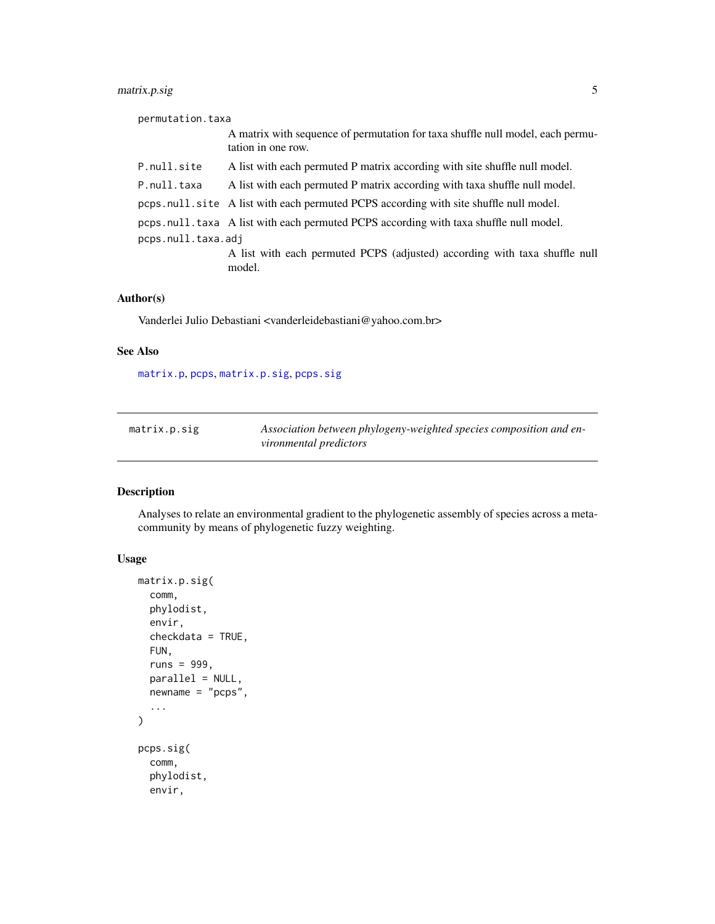## <span id="page-4-0"></span>matrix.p.sig 5

| permutation.taxa   |                                                                                                      |  |
|--------------------|------------------------------------------------------------------------------------------------------|--|
|                    | A matrix with sequence of permutation for taxa shuffle null model, each permu-<br>tation in one row. |  |
| P.null.site        | A list with each permuted P matrix according with site shuffle null model.                           |  |
| P.null.taxa        | A list with each permuted P matrix according with taxa shuffle null model.                           |  |
|                    | pcps.null.site A list with each permuted PCPS according with site shuffle null model.                |  |
|                    | pcps.null.taxa A list with each permuted PCPS according with taxa shuffle null model.                |  |
| pcps.null.taxa.adj |                                                                                                      |  |
|                    | A list with each permuted PCPS (adjusted) according with taxa shuffle null<br>model.                 |  |

## Author(s)

Vanderlei Julio Debastiani <vanderleidebastiani@yahoo.com.br>

#### See Also

[matrix.p](#page-0-0), [pcps](#page-16-1), [matrix.p.sig](#page-4-1), [pcps.sig](#page-4-2)

<span id="page-4-1"></span>

| matrix.p.sig | Association between phylogeny-weighted species composition and en- |
|--------------|--------------------------------------------------------------------|
|              | vironmental predictors                                             |

## <span id="page-4-2"></span>Description

Analyses to relate an environmental gradient to the phylogenetic assembly of species across a metacommunity by means of phylogenetic fuzzy weighting.

## Usage

```
matrix.p.sig(
  comm,
 phylodist,
 envir,
  checkdata = TRUE,
 FUN,
  runs = 999,
 parallel = NULL,
 newname = "pcps",
  ...
\lambdapcps.sig(
  comm,
 phylodist,
  envir,
```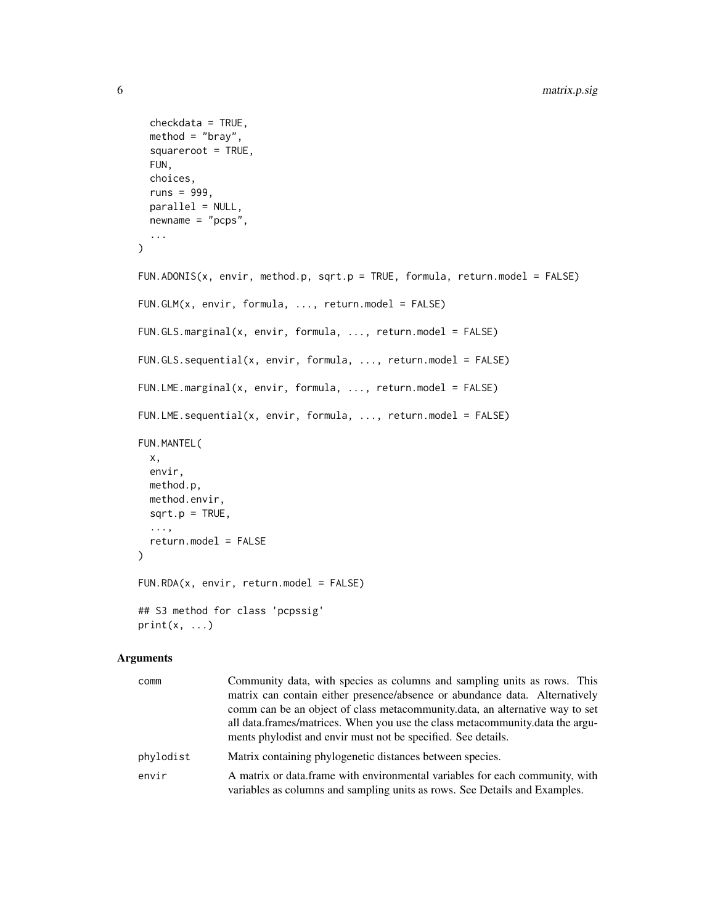```
checkdata = TRUE,
 method = "bray",square <b>set = TRUE</b>,
  FUN,
  choices,
  runs = 999,
 parallel = NULL,
 newname = "pcps",
  ...
\mathcal{L}FUN.ADONIS(x, envir, method.p, sqrt.p = TRUE, formula, return.model = FALSE)
FUN.GLM(x, envir, formula, ..., return.model = FALSE)
FUN.GLS.marginal(x, envir, formula, ..., return.model = FALSE)
FUN.GLS.sequential(x, envir, formula, ..., return.model = FALSE)
FUN.LME.marginal(x, envir, formula, ..., return.model = FALSE)
FUN.LME.sequential(x, envir, formula, ..., return.model = FALSE)
FUN.MANTEL(
  x,
 envir,
 method.p,
 method.envir,
 sqrt.P = TRUE,...,
  return.model = FALSE
\mathcal{L}FUN.RDA(x, envir, return.model = FALSE)
## S3 method for class 'pcpssig'
print(x, \ldots)
```
## Arguments

| comm      | Community data, with species as columns and sampling units as rows. This                                                                                   |
|-----------|------------------------------------------------------------------------------------------------------------------------------------------------------------|
|           | matrix can contain either presence/absence or abundance data. Alternatively                                                                                |
|           | comm can be an object of class metacommunity.data, an alternative way to set                                                                               |
|           | all data frames/matrices. When you use the class metacommunity data the argu-<br>ments phylodist and envir must not be specified. See details.             |
| phylodist | Matrix containing phylogenetic distances between species.                                                                                                  |
| envir     | A matrix or data frame with environmental variables for each community, with<br>variables as columns and sampling units as rows. See Details and Examples. |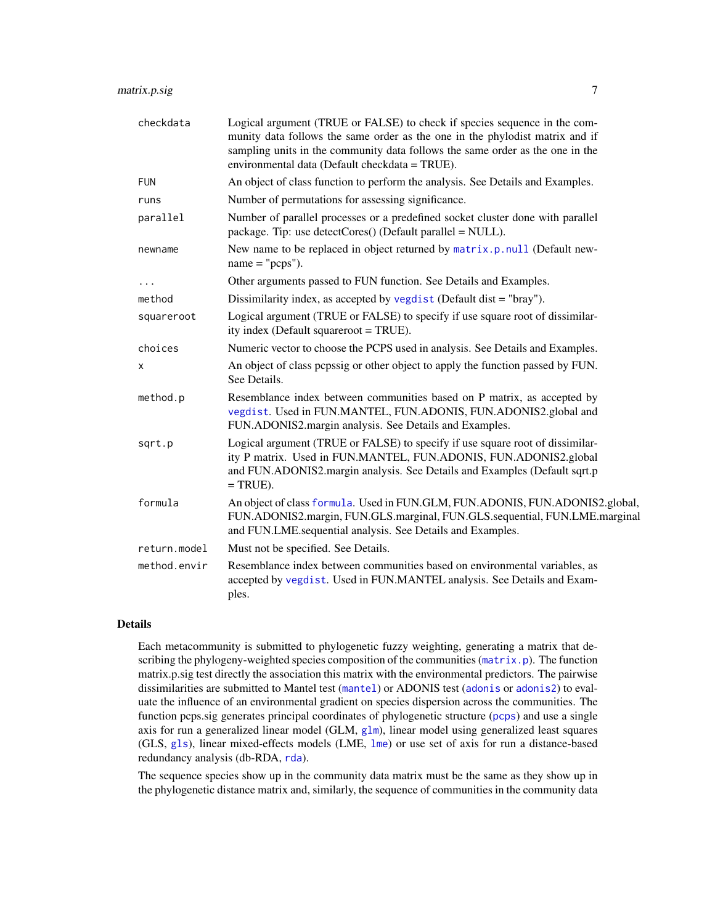<span id="page-6-0"></span>

| checkdata    | Logical argument (TRUE or FALSE) to check if species sequence in the com-<br>munity data follows the same order as the one in the phylodist matrix and if<br>sampling units in the community data follows the same order as the one in the<br>environmental data (Default checkdata = TRUE). |
|--------------|----------------------------------------------------------------------------------------------------------------------------------------------------------------------------------------------------------------------------------------------------------------------------------------------|
| <b>FUN</b>   | An object of class function to perform the analysis. See Details and Examples.                                                                                                                                                                                                               |
| runs         | Number of permutations for assessing significance.                                                                                                                                                                                                                                           |
| parallel     | Number of parallel processes or a predefined socket cluster done with parallel<br>package. Tip: use detectCores() (Default parallel = NULL).                                                                                                                                                 |
| newname      | New name to be replaced in object returned by matrix.p.null (Default new-<br>$name = "pcps").$                                                                                                                                                                                               |
| $\cdots$     | Other arguments passed to FUN function. See Details and Examples.                                                                                                                                                                                                                            |
| method       | Dissimilarity index, as accepted by vegdist (Default dist = "bray").                                                                                                                                                                                                                         |
| squareroot   | Logical argument (TRUE or FALSE) to specify if use square root of dissimilar-<br>ity index (Default squareroot = TRUE).                                                                                                                                                                      |
| choices      | Numeric vector to choose the PCPS used in analysis. See Details and Examples.                                                                                                                                                                                                                |
| х            | An object of class pepssig or other object to apply the function passed by FUN.<br>See Details.                                                                                                                                                                                              |
| method.p     | Resemblance index between communities based on P matrix, as accepted by<br>vegdist. Used in FUN.MANTEL, FUN.ADONIS, FUN.ADONIS2.global and<br>FUN.ADONIS2.margin analysis. See Details and Examples.                                                                                         |
| sqrt.p       | Logical argument (TRUE or FALSE) to specify if use square root of dissimilar-<br>ity P matrix. Used in FUN.MANTEL, FUN.ADONIS, FUN.ADONIS2.global<br>and FUN.ADONIS2.margin analysis. See Details and Examples (Default sqrt.p<br>$= TRUE$ ).                                                |
| formula      | An object of class formula. Used in FUN.GLM, FUN.ADONIS, FUN.ADONIS2.global,<br>FUN.ADONIS2.margin, FUN.GLS.marginal, FUN.GLS.sequential, FUN.LME.marginal<br>and FUN.LME.sequential analysis. See Details and Examples.                                                                     |
| return.model | Must not be specified. See Details.                                                                                                                                                                                                                                                          |
| method.envir | Resemblance index between communities based on environmental variables, as<br>accepted by vegdist. Used in FUN.MANTEL analysis. See Details and Exam-<br>ples.                                                                                                                               |
|              |                                                                                                                                                                                                                                                                                              |

### Details

Each metacommunity is submitted to phylogenetic fuzzy weighting, generating a matrix that describing the phylogeny-weighted species composition of the communities ([matrix.p](#page-0-0)). The function matrix.p.sig test directly the association this matrix with the environmental predictors. The pairwise dissimilarities are submitted to Mantel test ([mantel](#page-0-0)) or ADONIS test ([adonis](#page-0-0) or [adonis2](#page-0-0)) to evaluate the influence of an environmental gradient on species dispersion across the communities. The function pcps.sig generates principal coordinates of phylogenetic structure ([pcps](#page-16-1)) and use a single axis for run a generalized linear model (GLM, [glm](#page-0-0)), linear model using generalized least squares (GLS, [gls](#page-0-0)), linear mixed-effects models (LME, [lme](#page-0-0)) or use set of axis for run a distance-based redundancy analysis (db-RDA, [rda](#page-0-0)).

The sequence species show up in the community data matrix must be the same as they show up in the phylogenetic distance matrix and, similarly, the sequence of communities in the community data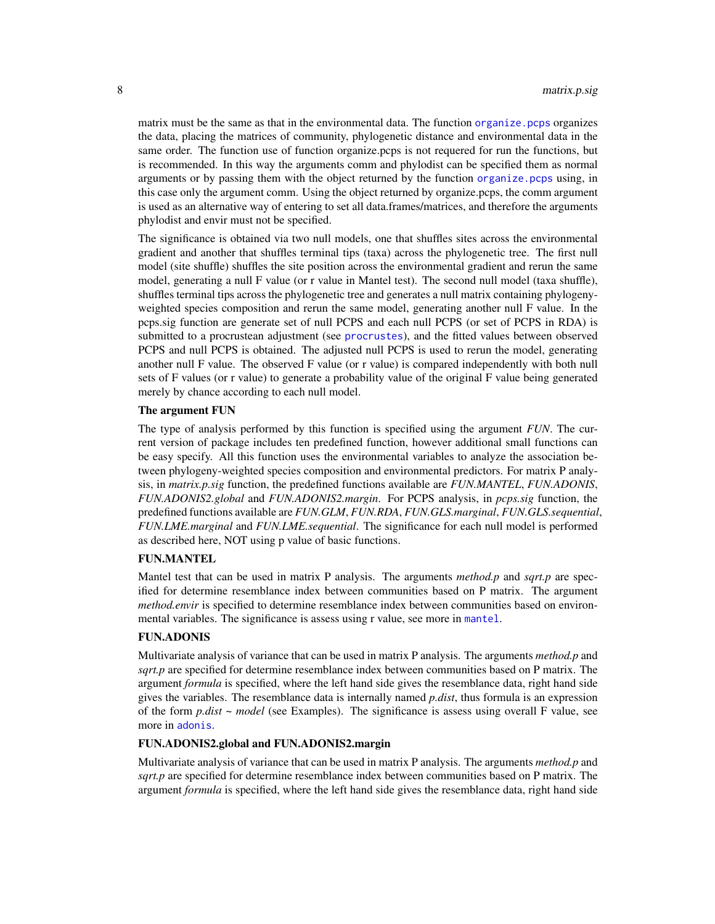<span id="page-7-0"></span>matrix must be the same as that in the environmental data. The function organize pcps organizes the data, placing the matrices of community, phylogenetic distance and environmental data in the same order. The function use of function organize.pcps is not requered for run the functions, but is recommended. In this way the arguments comm and phylodist can be specified them as normal arguments or by passing them with the object returned by the function organize. pcps using, in this case only the argument comm. Using the object returned by organize.pcps, the comm argument is used as an alternative way of entering to set all data.frames/matrices, and therefore the arguments phylodist and envir must not be specified.

The significance is obtained via two null models, one that shuffles sites across the environmental gradient and another that shuffles terminal tips (taxa) across the phylogenetic tree. The first null model (site shuffle) shuffles the site position across the environmental gradient and rerun the same model, generating a null F value (or r value in Mantel test). The second null model (taxa shuffle), shuffles terminal tips across the phylogenetic tree and generates a null matrix containing phylogenyweighted species composition and rerun the same model, generating another null F value. In the pcps.sig function are generate set of null PCPS and each null PCPS (or set of PCPS in RDA) is submitted to a procrustean adjustment (see [procrustes](#page-0-0)), and the fitted values between observed PCPS and null PCPS is obtained. The adjusted null PCPS is used to rerun the model, generating another null F value. The observed F value (or r value) is compared independently with both null sets of F values (or r value) to generate a probability value of the original F value being generated merely by chance according to each null model.

#### The argument FUN

The type of analysis performed by this function is specified using the argument *FUN*. The current version of package includes ten predefined function, however additional small functions can be easy specify. All this function uses the environmental variables to analyze the association between phylogeny-weighted species composition and environmental predictors. For matrix P analysis, in *matrix.p.sig* function, the predefined functions available are *FUN.MANTEL*, *FUN.ADONIS*, *FUN.ADONIS2.global* and *FUN.ADONIS2.margin*. For PCPS analysis, in *pcps.sig* function, the predefined functions available are *FUN.GLM*, *FUN.RDA*, *FUN.GLS.marginal*, *FUN.GLS.sequential*, *FUN.LME.marginal* and *FUN.LME.sequential*. The significance for each null model is performed as described here, NOT using p value of basic functions.

## FUN.MANTEL

Mantel test that can be used in matrix P analysis. The arguments *method.p* and *sqrt.p* are specified for determine resemblance index between communities based on P matrix. The argument *method.envir* is specified to determine resemblance index between communities based on environmental variables. The significance is assess using r value, see more in [mantel](#page-0-0).

#### FUN.ADONIS

Multivariate analysis of variance that can be used in matrix P analysis. The arguments *method.p* and *sqrt.p* are specified for determine resemblance index between communities based on P matrix. The argument *formula* is specified, where the left hand side gives the resemblance data, right hand side gives the variables. The resemblance data is internally named *p.dist*, thus formula is an expression of the form *p.dist ~ model* (see Examples). The significance is assess using overall F value, see more in [adonis](#page-0-0).

## FUN.ADONIS2.global and FUN.ADONIS2.margin

Multivariate analysis of variance that can be used in matrix P analysis. The arguments *method.p* and *sqrt.p* are specified for determine resemblance index between communities based on P matrix. The argument *formula* is specified, where the left hand side gives the resemblance data, right hand side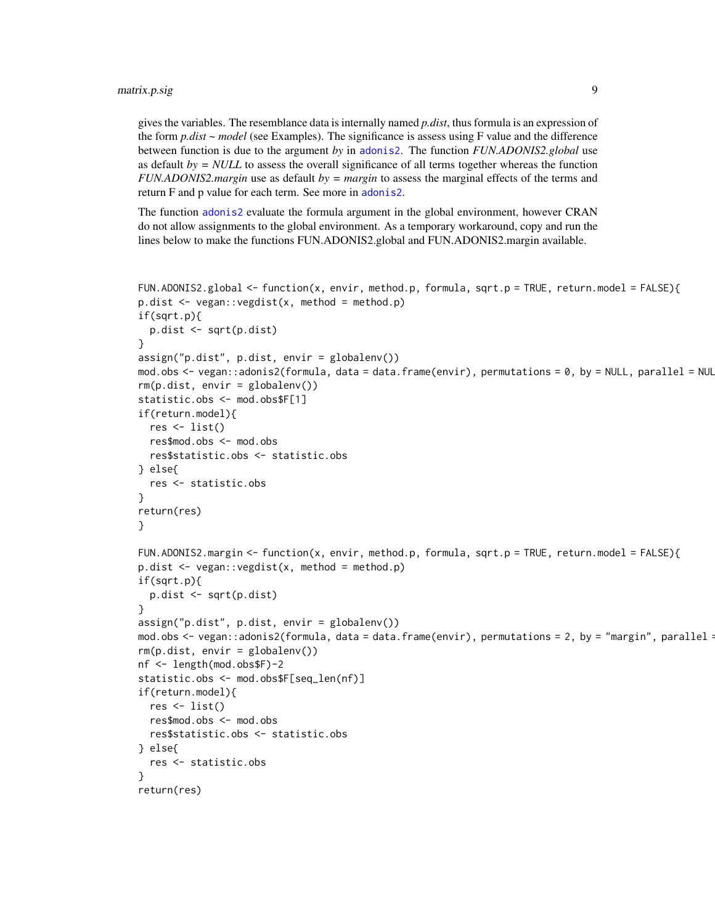<span id="page-8-0"></span>gives the variables. The resemblance data is internally named *p.dist*, thus formula is an expression of the form *p.dist ~ model* (see Examples). The significance is assess using F value and the difference between function is due to the argument *by* in [adonis2](#page-0-0). The function *FUN.ADONIS2.global* use as default *by = NULL* to assess the overall significance of all terms together whereas the function *FUN.ADONIS2.margin* use as default *by = margin* to assess the marginal effects of the terms and return F and p value for each term. See more in [adonis2](#page-0-0).

The function [adonis2](#page-0-0) evaluate the formula argument in the global environment, however CRAN do not allow assignments to the global environment. As a temporary workaround, copy and run the lines below to make the functions FUN.ADONIS2.global and FUN.ADONIS2.margin available.

```
FUN.ADONIS2.global \leq function(x, envir, method.p, formula, sqrt.p = TRUE, return.model = FALSE){
p.dist <- vegan::vegdist(x, method = method.p)
if(sqrt.p){
 p.dist <- sqrt(p.dist)
}
assign("p.dist", p.dist, envir = globalenv())
mod.obs <- vegan::adonis2(formula, data = data.frame(envir), permutations = 0, by = NULL, parallel = NUL
rm(p.dist, envir = globalenv())statistic.obs <- mod.obs$F[1]
if(return.model){
  res \leftarrow list()
  res$mod.obs <- mod.obs
  res$statistic.obs <- statistic.obs
} else{
  res <- statistic.obs
}
return(res)
}
FUN.ADONIS2.margin <- function(x, envir, method.p, formula, sqrt.p = TRUE, return.model = FALSE){
p.dist <- vegan::vegdist(x, method = method.p)
if(sqrt.p){
 p.dist <- sqrt(p.dist)
}
assign("p.dist", p.dist, envir = globalenv())
mod.obs <- vegan::adonis2(formula, data = data.frame(envir), permutations = 2, by = "margin", parallel =
rm(p.dist, envir = globalenv())
nf <- length(mod.obs$F)-2
statistic.obs <- mod.obs$F[seq_len(nf)]
if(return.model){
  res \leftarrow list()
  res$mod.obs <- mod.obs
 res$statistic.obs <- statistic.obs
} else{
  res <- statistic.obs
}
return(res)
```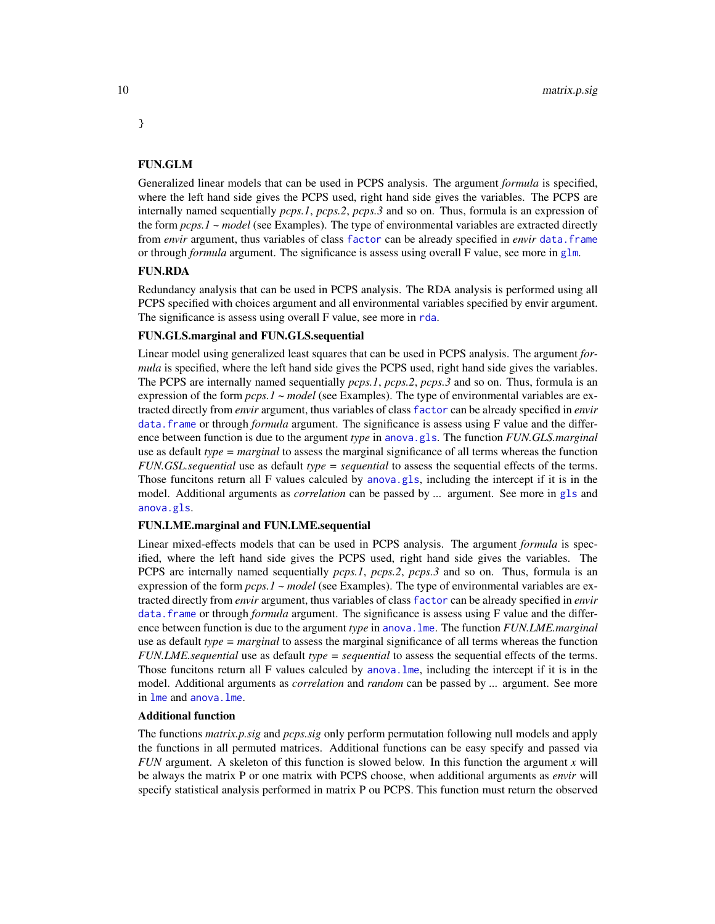## FUN.GLM

Generalized linear models that can be used in PCPS analysis. The argument *formula* is specified, where the left hand side gives the PCPS used, right hand side gives the variables. The PCPS are internally named sequentially *pcps.1*, *pcps.2*, *pcps.3* and so on. Thus, formula is an expression of the form *pcps.1 ~ model* (see Examples). The type of environmental variables are extracted directly from *envir* argument, thus variables of class [factor](#page-0-0) can be already specified in *envir* [data.frame](#page-0-0) or through *formula* argument. The significance is assess using overall F value, see more in [glm](#page-0-0).

## FUN.RDA

Redundancy analysis that can be used in PCPS analysis. The RDA analysis is performed using all PCPS specified with choices argument and all environmental variables specified by envir argument. The significance is assess using overall F value, see more in [rda](#page-0-0).

#### FUN.GLS.marginal and FUN.GLS.sequential

Linear model using generalized least squares that can be used in PCPS analysis. The argument *formula* is specified, where the left hand side gives the PCPS used, right hand side gives the variables. The PCPS are internally named sequentially *pcps.1*, *pcps.2*, *pcps.3* and so on. Thus, formula is an expression of the form *pcps.1 ~ model* (see Examples). The type of environmental variables are extracted directly from *envir* argument, thus variables of class [factor](#page-0-0) can be already specified in *envir* [data.frame](#page-0-0) or through *formula* argument. The significance is assess using F value and the difference between function is due to the argument *type* in [anova.gls](#page-0-0). The function *FUN.GLS.marginal* use as default *type = marginal* to assess the marginal significance of all terms whereas the function *FUN.GSL.sequential* use as default *type = sequential* to assess the sequential effects of the terms. Those funcitons return all F values calculed by [anova.gls](#page-0-0), including the intercept if it is in the model. Additional arguments as *correlation* can be passed by *...* argument. See more in [gls](#page-0-0) and [anova.gls](#page-0-0).

#### FUN.LME.marginal and FUN.LME.sequential

Linear mixed-effects models that can be used in PCPS analysis. The argument *formula* is specified, where the left hand side gives the PCPS used, right hand side gives the variables. The PCPS are internally named sequentially *pcps.1*, *pcps.2*, *pcps.3* and so on. Thus, formula is an expression of the form *pcps.1 ~ model* (see Examples). The type of environmental variables are extracted directly from *envir* argument, thus variables of class [factor](#page-0-0) can be already specified in *envir* data. frame or through *formula* argument. The significance is assess using F value and the difference between function is due to the argument *type* in [anova.lme](#page-0-0). The function *FUN.LME.marginal* use as default *type = marginal* to assess the marginal significance of all terms whereas the function *FUN.LME.sequential* use as default *type = sequential* to assess the sequential effects of the terms. Those funcitons return all F values calculed by [anova.lme](#page-0-0), including the intercept if it is in the model. Additional arguments as *correlation* and *random* can be passed by *...* argument. See more in [lme](#page-0-0) and [anova.lme](#page-0-0).

#### Additional function

The functions *matrix.p.sig* and *pcps.sig* only perform permutation following null models and apply the functions in all permuted matrices. Additional functions can be easy specify and passed via *FUN* argument. A skeleton of this function is slowed below. In this function the argument *x* will be always the matrix P or one matrix with PCPS choose, when additional arguments as *envir* will specify statistical analysis performed in matrix P ou PCPS. This function must return the observed

<span id="page-9-0"></span>

}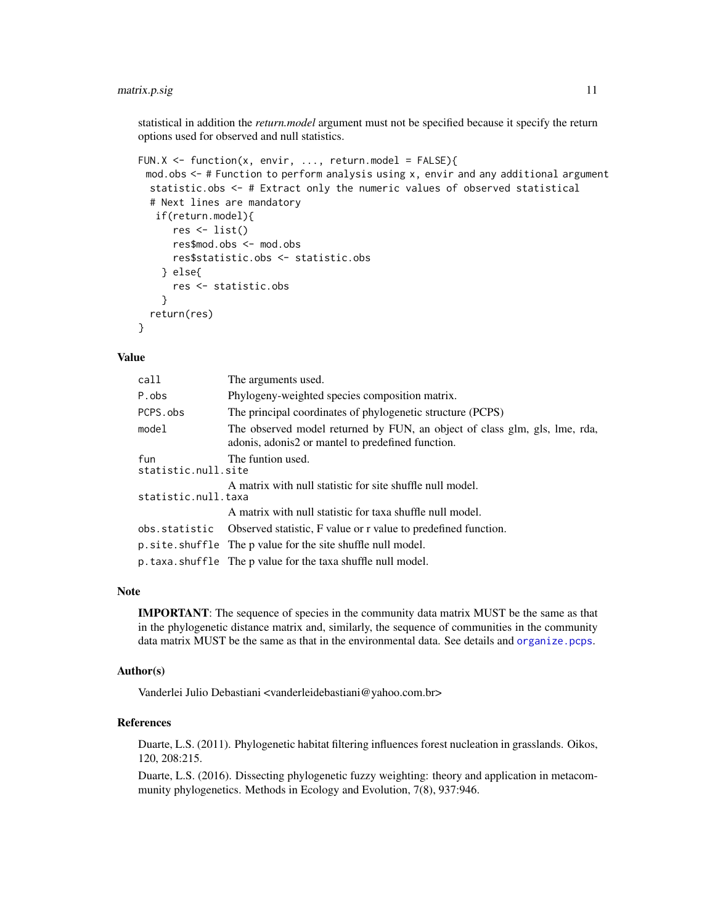## <span id="page-10-0"></span>matrix.p.sig 11

statistical in addition the *return.model* argument must not be specified because it specify the return options used for observed and null statistics.

```
FUN.X <- function(x, envir, ..., return.model = FALSE){
 mod.obs <- # Function to perform analysis using x, envir and any additional argument
  statistic.obs <- # Extract only the numeric values of observed statistical
  # Next lines are mandatory
   if(return.model){
      res \leftarrow list()
      res$mod.obs <- mod.obs
      res$statistic.obs <- statistic.obs
    } else{
      res <- statistic.obs
    }
  return(res)
}
```
#### Value

| call                       | The arguments used.                                                                                                             |
|----------------------------|---------------------------------------------------------------------------------------------------------------------------------|
| P.obs                      | Phylogeny-weighted species composition matrix.                                                                                  |
| PCPS.obs                   | The principal coordinates of phylogenetic structure (PCPS)                                                                      |
| model                      | The observed model returned by FUN, an object of class glm, gls, lme, rda,<br>adonis, adonis2 or mantel to predefined function. |
| fun<br>statistic.null.site | The funtion used.                                                                                                               |
| statistic.null.taxa        | A matrix with null statistic for site shuffle null model.                                                                       |
|                            | A matrix with null statistic for taxa shuffle null model.                                                                       |
|                            | obs.statistic Observed statistic, F value or r value to predefined function.                                                    |
|                            | p.site.shuffle The p value for the site shuffle null model.                                                                     |
|                            | p.taxa.shuffle The p value for the taxa shuffle null model.                                                                     |

#### Note

IMPORTANT: The sequence of species in the community data matrix MUST be the same as that in the phylogenetic distance matrix and, similarly, the sequence of communities in the community data matrix MUST be the same as that in the environmental data. See details and [organize.pcps](#page-12-1).

#### Author(s)

Vanderlei Julio Debastiani <vanderleidebastiani@yahoo.com.br>

## References

Duarte, L.S. (2011). Phylogenetic habitat filtering influences forest nucleation in grasslands. Oikos, 120, 208:215.

Duarte, L.S. (2016). Dissecting phylogenetic fuzzy weighting: theory and application in metacommunity phylogenetics. Methods in Ecology and Evolution, 7(8), 937:946.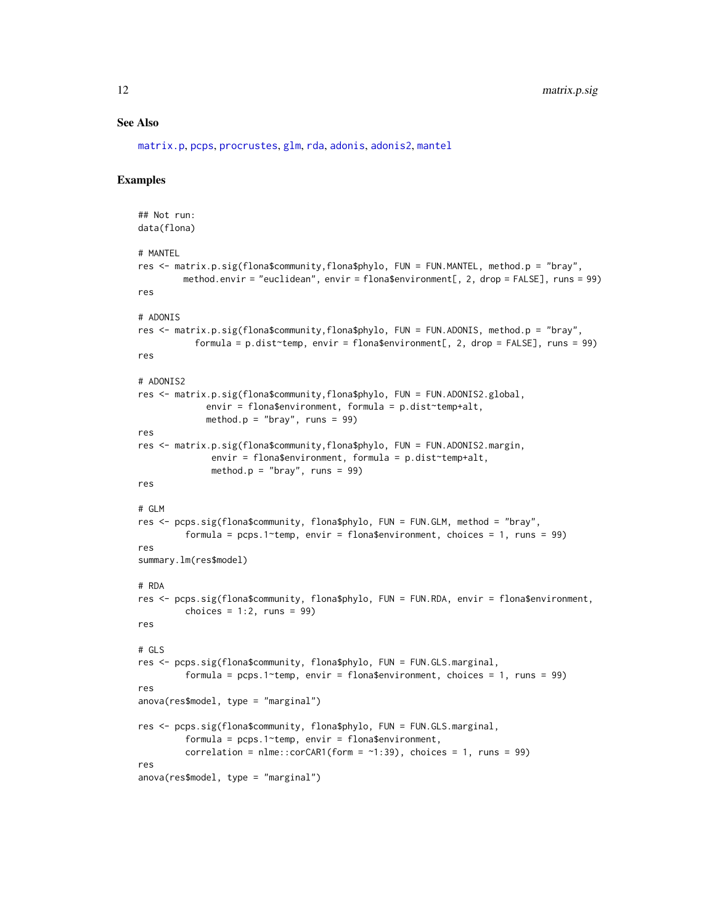#### <span id="page-11-0"></span>See Also

[matrix.p](#page-0-0), [pcps](#page-16-1), [procrustes](#page-0-0), [glm](#page-0-0), [rda](#page-0-0), [adonis](#page-0-0), [adonis2](#page-0-0), [mantel](#page-0-0)

#### Examples

```
## Not run:
data(flona)
# MANTEL
res <- matrix.p.sig(flona$community,flona$phylo, FUN = FUN.MANTEL, method.p = "bray",
        method.envir = "euclidean", envir = flona$environment[, 2, drop = FALSE], runs = 99)
res
# ADONIS
res <- matrix.p.sig(flona$community,flona$phylo, FUN = FUN.ADONIS, method.p = "bray",
           formula = p.dist temp, envir = flona$environment[, 2, drop = FALSE], runs = 99)
res
# ADONIS2
res <- matrix.p.sig(flona$community,flona$phylo, FUN = FUN.ADONIS2.global,
             envir = flona$environment, formula = p.dist~temp+alt,
             method.p = "bray", runs = 99)
res
res <- matrix.p.sig(flona$community,flona$phylo, FUN = FUN.ADONIS2.margin,
              envir = flona$environment, formula = p.dist temp+alt,
              method.p = "bray", runs = 99)
res
# GLM
res <- pcps.sig(flona$community, flona$phylo, FUN = FUN.GLM, method = "bray",
         formula = pcps.1 *temp, envir = flona$environment, choices = 1, runs = 99)
res
summary.lm(res$model)
# RDA
res <- pcps.sig(flona$community, flona$phylo, FUN = FUN.RDA, envir = flona$environment,
         choices = 1:2, runs = 99)
res
# GLS
res <- pcps.sig(flona$community, flona$phylo, FUN = FUN.GLS.marginal,
         formula = pcps.1-temp, envir = flona$environment, choices = 1, runs = 99)
res
anova(res$model, type = "marginal")
res <- pcps.sig(flona$community, flona$phylo, FUN = FUN.GLS.marginal,
         formula = pcps.1~temp, envir = flona$environment,
         correlation = nlme::corCAR1(form = -1:39), choices = 1, runs = 99)
res
anova(res$model, type = "marginal")
```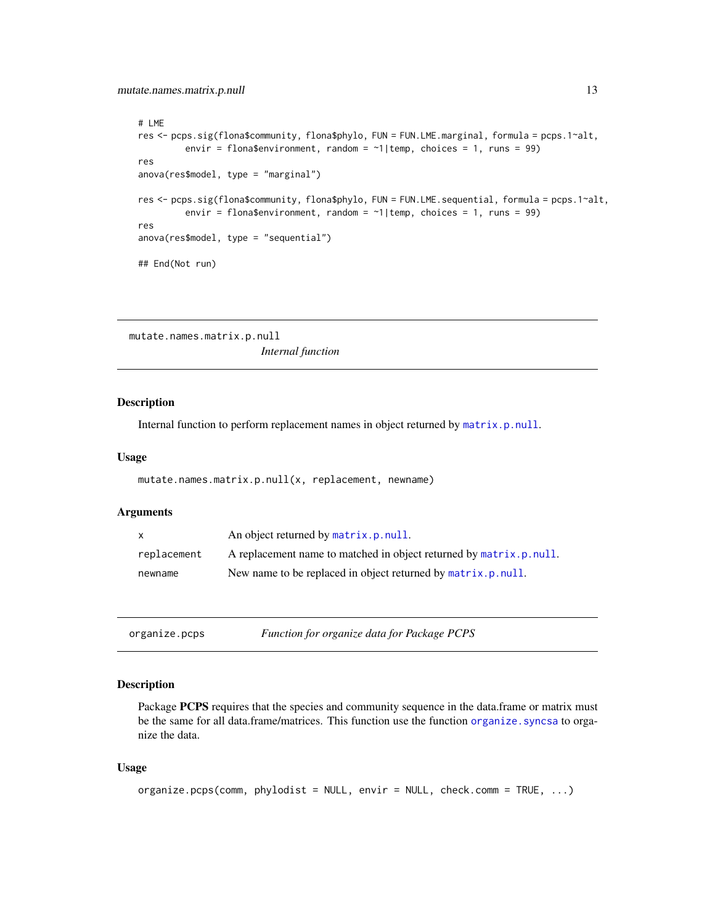```
# LME
res <- pcps.sig(flona$community, flona$phylo, FUN = FUN.LME.marginal, formula = pcps.1~alt,
         envir = flona$environment, random = \sim 1|temp, choices = 1, runs = 99)
res
anova(res$model, type = "marginal")
res <- pcps.sig(flona$community, flona$phylo, FUN = FUN.LME.sequential, formula = pcps.1~alt,
         envir = flona$environment, random = \sim 1|temp, choices = 1, runs = 99)
res
anova(res$model, type = "sequential")
## End(Not run)
```
mutate.names.matrix.p.null *Internal function*

## Description

Internal function to perform replacement names in object returned by [matrix.p.null](#page-3-1).

#### Usage

```
mutate.names.matrix.p.null(x, replacement, newname)
```
## Arguments

| $\mathsf{x}$ | An object returned by matrix.p.null.                               |
|--------------|--------------------------------------------------------------------|
| replacement  | A replacement name to matched in object returned by matrix.p.null. |
| newname      | New name to be replaced in object returned by matrix.p.null.       |

<span id="page-12-1"></span>

|  | organize.pcps | Function for organize data for Package PCPS |
|--|---------------|---------------------------------------------|
|--|---------------|---------------------------------------------|

#### Description

Package PCPS requires that the species and community sequence in the data.frame or matrix must be the same for all data.frame/matrices. This function use the function [organize.syncsa](#page-0-0) to organize the data.

#### Usage

```
organize.pcps(comm, phylodist = NULL, envir = NULL, check.comm = TRUE, ...)
```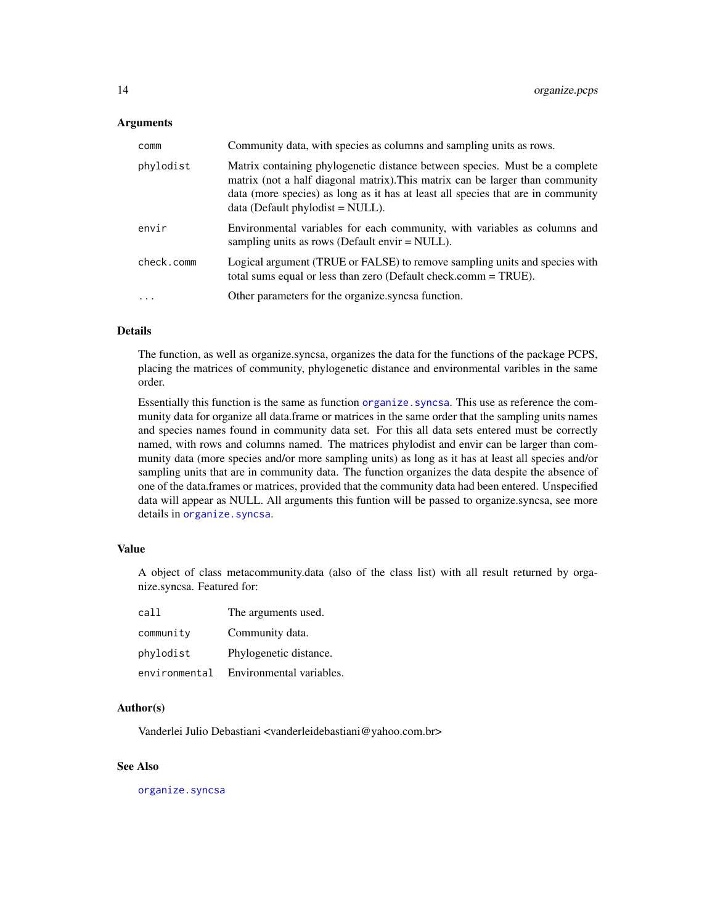#### <span id="page-13-0"></span>Arguments

| comm       | Community data, with species as columns and sampling units as rows.                                                                                                                                                                                                                    |
|------------|----------------------------------------------------------------------------------------------------------------------------------------------------------------------------------------------------------------------------------------------------------------------------------------|
| phylodist  | Matrix containing phylogenetic distance between species. Must be a complete<br>matrix (not a half diagonal matrix). This matrix can be larger than community<br>data (more species) as long as it has at least all species that are in community<br>$data$ (Default phylodist = NULL). |
| envir      | Environmental variables for each community, with variables as columns and<br>sampling units as rows (Default envir $=$ NULL).                                                                                                                                                          |
| check.comm | Logical argument (TRUE or FALSE) to remove sampling units and species with<br>total sums equal or less than zero (Default check.comm = TRUE).                                                                                                                                          |
| $\cdot$    | Other parameters for the organize.syncsa function.                                                                                                                                                                                                                                     |

## Details

The function, as well as organize.syncsa, organizes the data for the functions of the package PCPS, placing the matrices of community, phylogenetic distance and environmental varibles in the same order.

Essentially this function is the same as function [organize.syncsa](#page-0-0). This use as reference the community data for organize all data.frame or matrices in the same order that the sampling units names and species names found in community data set. For this all data sets entered must be correctly named, with rows and columns named. The matrices phylodist and envir can be larger than community data (more species and/or more sampling units) as long as it has at least all species and/or sampling units that are in community data. The function organizes the data despite the absence of one of the data.frames or matrices, provided that the community data had been entered. Unspecified data will appear as NULL. All arguments this funtion will be passed to organize.syncsa, see more details in organize. syncsa.

#### Value

A object of class metacommunity.data (also of the class list) with all result returned by organize.syncsa. Featured for:

| call          | The arguments used.      |
|---------------|--------------------------|
| community     | Community data.          |
| phylodist     | Phylogenetic distance.   |
| environmental | Environmental variables. |

#### Author(s)

Vanderlei Julio Debastiani <vanderleidebastiani@yahoo.com.br>

#### See Also

[organize.syncsa](#page-0-0)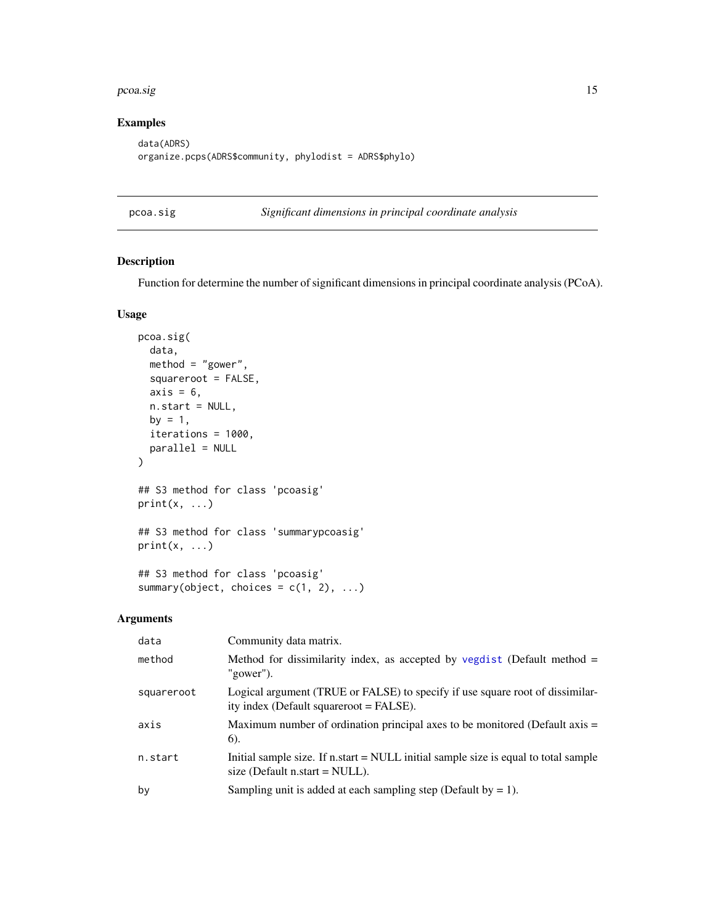#### <span id="page-14-0"></span>pcoa.sig and the set of the set of the set of the set of the set of the set of the set of the set of the set of the set of the set of the set of the set of the set of the set of the set of the set of the set of the set of

## Examples

```
data(ADRS)
organize.pcps(ADRS$community, phylodist = ADRS$phylo)
```
pcoa.sig *Significant dimensions in principal coordinate analysis*

#### Description

Function for determine the number of significant dimensions in principal coordinate analysis (PCoA).

### Usage

```
pcoa.sig(
  data,
 method = "gower",
  squareroot = FALSE,
  axis = 6,
 n.start = NULL,
 by = 1,
  iterations = 1000,
 parallel = NULL
)
## S3 method for class 'pcoasig'
print(x, \ldots)## S3 method for class 'summarypcoasig'
print(x, \ldots)## S3 method for class 'pcoasig'
summary(object, choices = c(1, 2), ...)
```
#### Arguments

| data       | Community data matrix.                                                                                                     |
|------------|----------------------------------------------------------------------------------------------------------------------------|
| method     | Method for dissimilarity index, as accepted by vegdist (Default method $=$<br>"gower").                                    |
| squareroot | Logical argument (TRUE or FALSE) to specify if use square root of dissimilar-<br>ity index (Default squareroot = FALSE).   |
| axis       | Maximum number of ordination principal axes to be monitored (Default axis $=$<br>6).                                       |
| n.start    | Initial sample size. If $n.start = NULL$ initial sample size is equal to total sample<br>size (Default $n.start = NULL$ ). |
| by         | Sampling unit is added at each sampling step (Default by $= 1$ ).                                                          |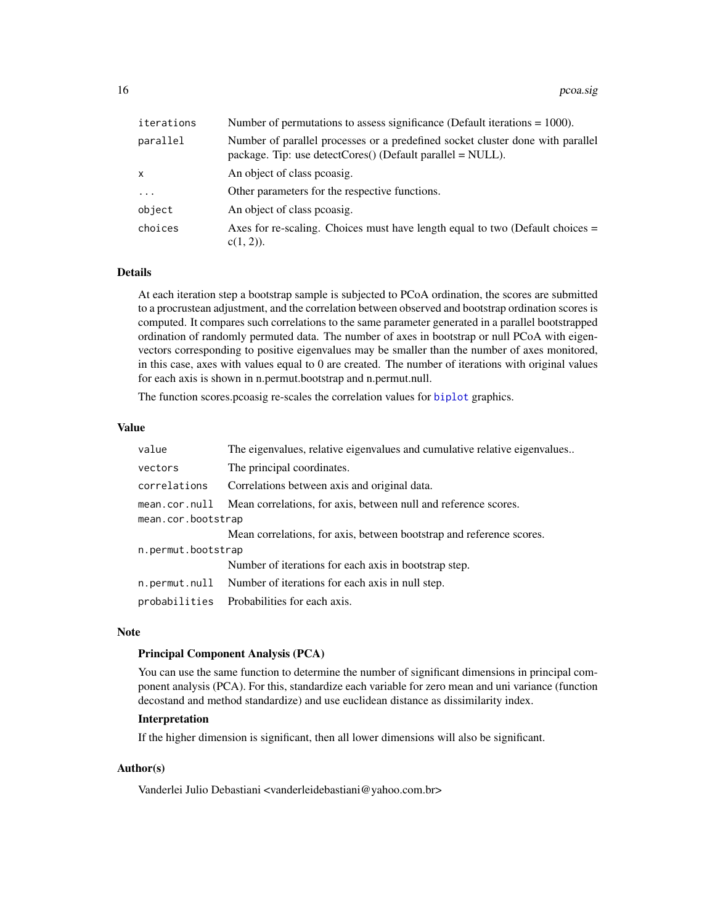<span id="page-15-0"></span>

| iterations   | Number of permutations to assess significance (Default iterations $= 1000$ ).                                                                  |
|--------------|------------------------------------------------------------------------------------------------------------------------------------------------|
| parallel     | Number of parallel processes or a predefined socket cluster done with parallel<br>package. Tip: use detectCores() (Default parallel $=$ NULL). |
| $\mathsf{x}$ | An object of class peoasig.                                                                                                                    |
| $\ddotsc$    | Other parameters for the respective functions.                                                                                                 |
| object       | An object of class peoasig.                                                                                                                    |
| choices      | Axes for re-scaling. Choices must have length equal to two (Default choices $=$<br>$c(1, 2)$ ).                                                |

#### Details

At each iteration step a bootstrap sample is subjected to PCoA ordination, the scores are submitted to a procrustean adjustment, and the correlation between observed and bootstrap ordination scores is computed. It compares such correlations to the same parameter generated in a parallel bootstrapped ordination of randomly permuted data. The number of axes in bootstrap or null PCoA with eigenvectors corresponding to positive eigenvalues may be smaller than the number of axes monitored, in this case, axes with values equal to 0 are created. The number of iterations with original values for each axis is shown in n.permut.bootstrap and n.permut.null.

The function scores.pcoasig re-scales the correlation values for [biplot](#page-0-0) graphics.

#### Value

| value              | The eigenvalues, relative eigenvalues and cumulative relative eigenvalues |  |
|--------------------|---------------------------------------------------------------------------|--|
| vectors            | The principal coordinates.                                                |  |
| correlations       | Correlations between axis and original data.                              |  |
| mean.cor.null      | Mean correlations, for axis, between null and reference scores.           |  |
| mean.cor.bootstrap |                                                                           |  |
|                    | Mean correlations, for axis, between bootstrap and reference scores.      |  |
| n.permut.bootstrap |                                                                           |  |
|                    | Number of iterations for each axis in bootstrap step.                     |  |
| n.permut.null      | Number of iterations for each axis in null step.                          |  |
| probabilities      | Probabilities for each axis.                                              |  |

#### Note

### Principal Component Analysis (PCA)

You can use the same function to determine the number of significant dimensions in principal component analysis (PCA). For this, standardize each variable for zero mean and uni variance (function decostand and method standardize) and use euclidean distance as dissimilarity index.

#### Interpretation

If the higher dimension is significant, then all lower dimensions will also be significant.

### Author(s)

Vanderlei Julio Debastiani <vanderleidebastiani@yahoo.com.br>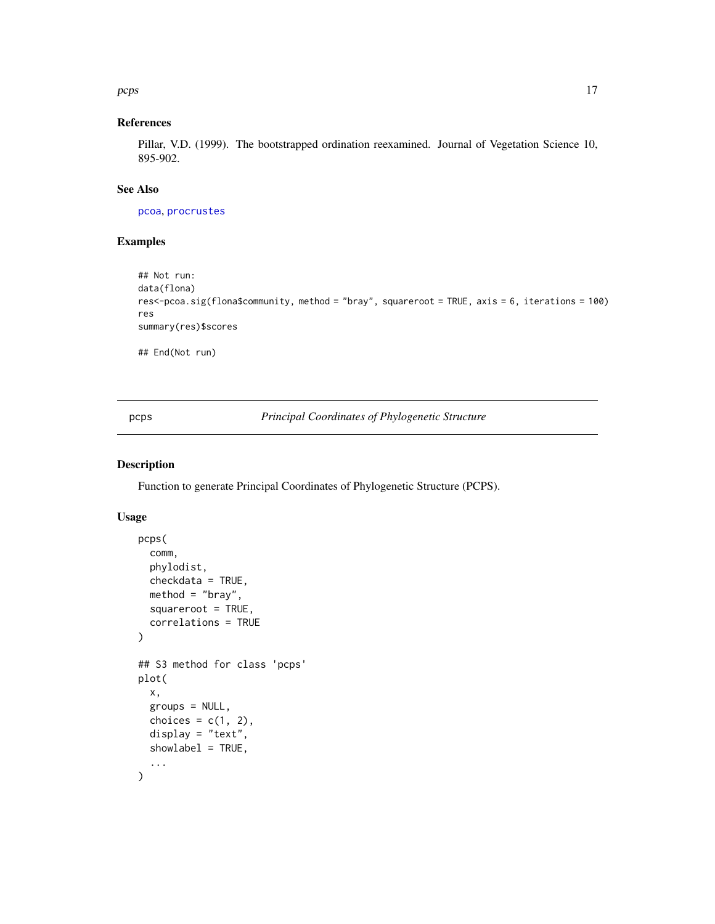<span id="page-16-0"></span>pcps and the proposed of the state of the state of the state of the state of the state of the state of the state of the state of the state of the state of the state of the state of the state of the state of the state of th

## References

Pillar, V.D. (1999). The bootstrapped ordination reexamined. Journal of Vegetation Science 10, 895-902.

## See Also

[pcoa](#page-0-0), [procrustes](#page-0-0)

#### Examples

```
## Not run:
data(flona)
res<-pcoa.sig(flona$community, method = "bray", squareroot = TRUE, axis = 6, iterations = 100)
res
summary(res)$scores
## End(Not run)
```
<span id="page-16-1"></span>pcps *Principal Coordinates of Phylogenetic Structure*

#### Description

Function to generate Principal Coordinates of Phylogenetic Structure (PCPS).

#### Usage

```
pcps(
  comm,
 phylodist,
  checkdata = TRUE,
 method = "bray",squareroot = TRUE,
  correlations = TRUE
\lambda## S3 method for class 'pcps'
plot(
  x,
 groups = NULL,
 choices = c(1, 2),
  display = "text",
  showlabel = TRUE,
  ...
)
```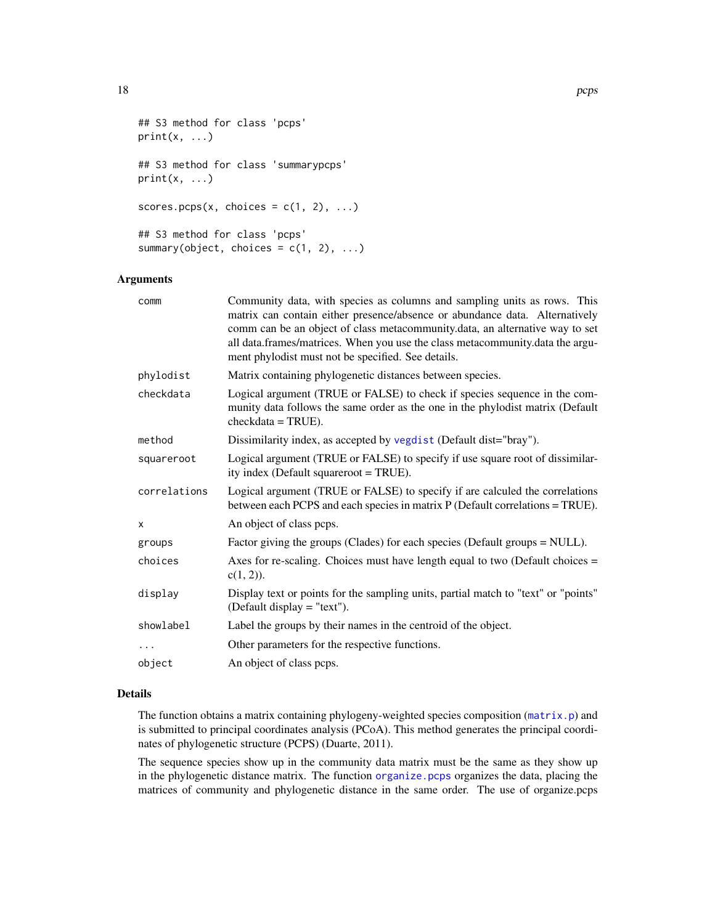```
## S3 method for class 'pcps'
print(x, \ldots)## S3 method for class 'summarypcps'
print(x, \ldots)scores.pcps(x, choices = c(1, 2), ...)
## S3 method for class 'pcps'
summary(object, choices = c(1, 2), ...)
```
## Arguments

| comm         | Community data, with species as columns and sampling units as rows. This<br>matrix can contain either presence/absence or abundance data. Alternatively<br>comm can be an object of class metacommunity.data, an alternative way to set<br>all data.frames/matrices. When you use the class metacommunity.data the argu-<br>ment phylodist must not be specified. See details. |
|--------------|--------------------------------------------------------------------------------------------------------------------------------------------------------------------------------------------------------------------------------------------------------------------------------------------------------------------------------------------------------------------------------|
| phylodist    | Matrix containing phylogenetic distances between species.                                                                                                                                                                                                                                                                                                                      |
| checkdata    | Logical argument (TRUE or FALSE) to check if species sequence in the com-<br>munity data follows the same order as the one in the phylodist matrix (Default<br>$checkdata = TRUE$ ).                                                                                                                                                                                           |
| method       | Dissimilarity index, as accepted by vegdist (Default dist="bray").                                                                                                                                                                                                                                                                                                             |
| squareroot   | Logical argument (TRUE or FALSE) to specify if use square root of dissimilar-<br>ity index (Default squareroot = TRUE).                                                                                                                                                                                                                                                        |
| correlations | Logical argument (TRUE or FALSE) to specify if are calculed the correlations<br>between each PCPS and each species in matrix P (Default correlations = TRUE).                                                                                                                                                                                                                  |
| x            | An object of class pcps.                                                                                                                                                                                                                                                                                                                                                       |
| groups       | Factor giving the groups (Clades) for each species (Default groups = NULL).                                                                                                                                                                                                                                                                                                    |
| choices      | Axes for re-scaling. Choices must have length equal to two (Default choices $=$<br>$c(1, 2)$ ).                                                                                                                                                                                                                                                                                |
| display      | Display text or points for the sampling units, partial match to "text" or "points"<br>(Default display $=$ "text").                                                                                                                                                                                                                                                            |
| showlabel    | Label the groups by their names in the centroid of the object.                                                                                                                                                                                                                                                                                                                 |
| $\ddots$     | Other parameters for the respective functions.                                                                                                                                                                                                                                                                                                                                 |
| object       | An object of class pcps.                                                                                                                                                                                                                                                                                                                                                       |
|              |                                                                                                                                                                                                                                                                                                                                                                                |

## Details

The function obtains a matrix containing phylogeny-weighted species composition ([matrix.p](#page-0-0)) and is submitted to principal coordinates analysis (PCoA). This method generates the principal coordinates of phylogenetic structure (PCPS) (Duarte, 2011).

The sequence species show up in the community data matrix must be the same as they show up in the phylogenetic distance matrix. The function [organize.pcps](#page-12-1) organizes the data, placing the matrices of community and phylogenetic distance in the same order. The use of organize.pcps

<span id="page-17-0"></span>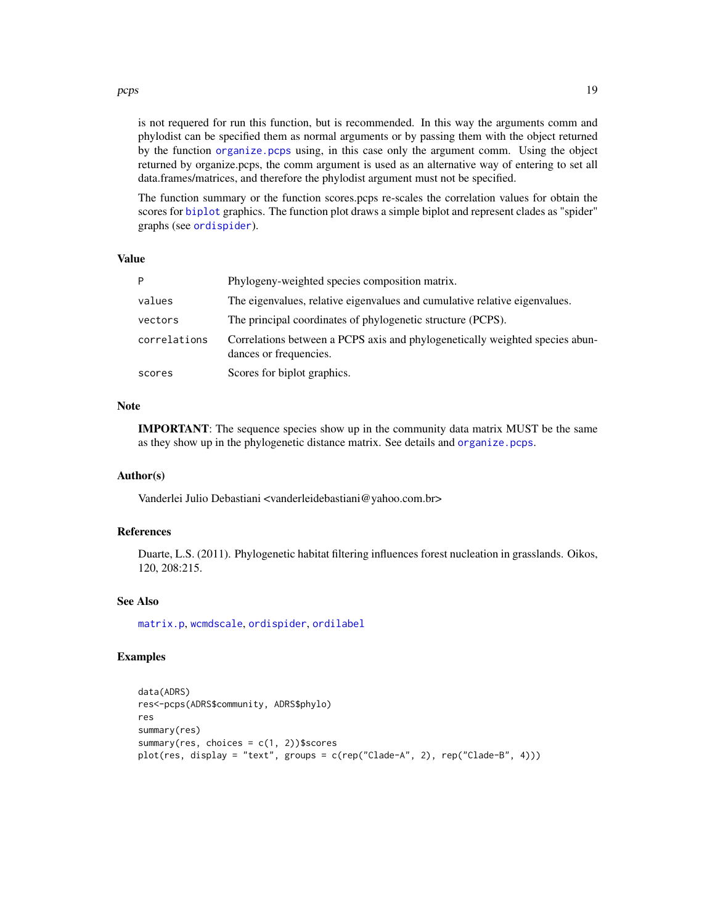#### <span id="page-18-0"></span>pcps and the proposed of the state of the state of the state of the state of the state of the state of the state of the state of the state of the state of the state of the state of the state of the state of the state of th

is not requered for run this function, but is recommended. In this way the arguments comm and phylodist can be specified them as normal arguments or by passing them with the object returned by the function [organize.pcps](#page-12-1) using, in this case only the argument comm. Using the object returned by organize.pcps, the comm argument is used as an alternative way of entering to set all data.frames/matrices, and therefore the phylodist argument must not be specified.

The function summary or the function scores.pcps re-scales the correlation values for obtain the scores for [biplot](#page-0-0) graphics. The function plot draws a simple biplot and represent clades as "spider" graphs (see [ordispider](#page-0-0)).

#### Value

| D            | Phylogeny-weighted species composition matrix.                                                         |
|--------------|--------------------------------------------------------------------------------------------------------|
| values       | The eigenvalues, relative eigenvalues and cumulative relative eigenvalues.                             |
| vectors      | The principal coordinates of phylogenetic structure (PCPS).                                            |
| correlations | Correlations between a PCPS axis and phylogenetically weighted species abun-<br>dances or frequencies. |
| scores       | Scores for biplot graphics.                                                                            |

## Note

IMPORTANT: The sequence species show up in the community data matrix MUST be the same as they show up in the phylogenetic distance matrix. See details and [organize.pcps](#page-12-1).

## Author(s)

Vanderlei Julio Debastiani <vanderleidebastiani@yahoo.com.br>

## References

Duarte, L.S. (2011). Phylogenetic habitat filtering influences forest nucleation in grasslands. Oikos, 120, 208:215.

#### See Also

[matrix.p](#page-0-0), [wcmdscale](#page-0-0), [ordispider](#page-0-0), [ordilabel](#page-0-0)

#### Examples

```
data(ADRS)
res<-pcps(ADRS$community, ADRS$phylo)
res
summary(res)
summary(res, choices = c(1, 2))$scores
plot(res, display = "text", groups = c(rep("Clade-A", 2), rep("Clade-B", 4)))
```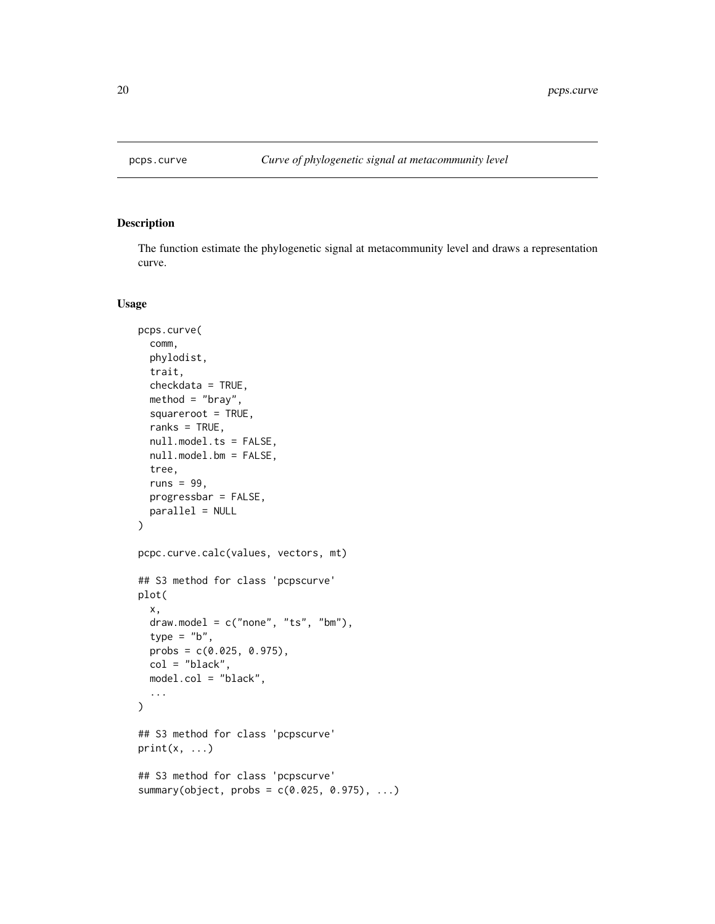<span id="page-19-0"></span>

#### Description

The function estimate the phylogenetic signal at metacommunity level and draws a representation curve.

#### Usage

```
pcps.curve(
  comm,
 phylodist,
  trait,
  checkdata = TRUE,
 method = "bray",squareroot = TRUE,
  ranks = TRUE,
  null.model.ts = FALSE,
  null.model.bm = FALSE,
  tree,
  runs = 99.
 progressbar = FALSE,
 parallel = NULL
)
pcpc.curve.calc(values, vectors, mt)
## S3 method for class 'pcpscurve'
plot(
  x,
  draw.model = c("none", "ts", "bm"),
  type = "b",probs = c(0.025, 0.975),
  col = "black",
 model.col = "black",
  ...
\mathcal{L}## S3 method for class 'pcpscurve'
print(x, \ldots)## S3 method for class 'pcpscurve'
summary(object, probs = c(0.025, 0.975), ...)
```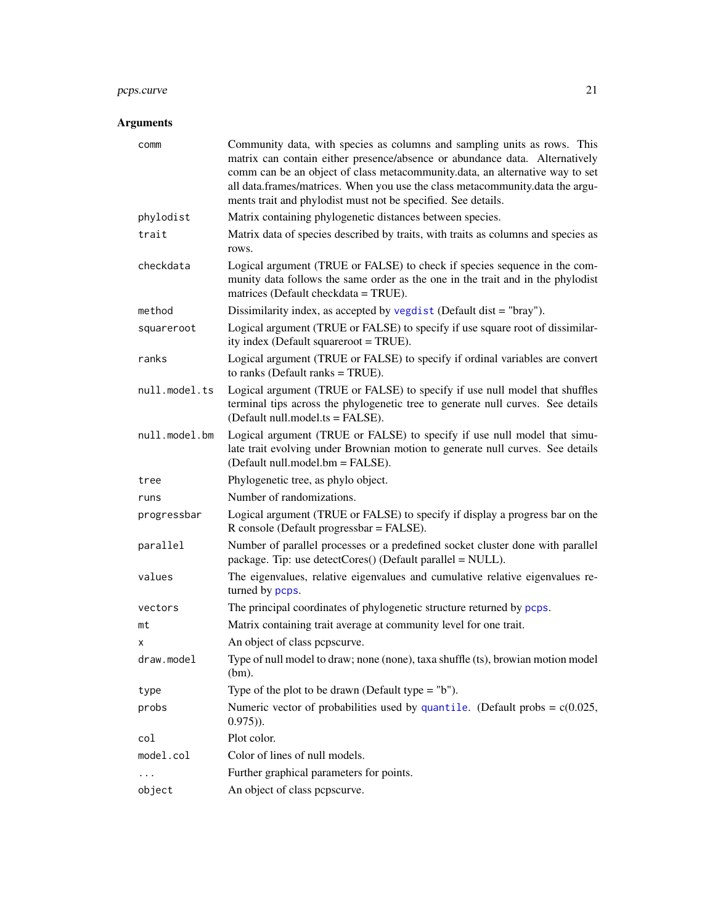## <span id="page-20-0"></span>pcps.curve 21

## Arguments

| comm          | Community data, with species as columns and sampling units as rows. This<br>matrix can contain either presence/absence or abundance data. Alternatively<br>comm can be an object of class metacommunity.data, an alternative way to set<br>all data.frames/matrices. When you use the class metacommunity.data the argu-<br>ments trait and phylodist must not be specified. See details. |
|---------------|-------------------------------------------------------------------------------------------------------------------------------------------------------------------------------------------------------------------------------------------------------------------------------------------------------------------------------------------------------------------------------------------|
| phylodist     | Matrix containing phylogenetic distances between species.                                                                                                                                                                                                                                                                                                                                 |
| trait         | Matrix data of species described by traits, with traits as columns and species as<br>rows.                                                                                                                                                                                                                                                                                                |
| checkdata     | Logical argument (TRUE or FALSE) to check if species sequence in the com-<br>munity data follows the same order as the one in the trait and in the phylodist<br>matrices (Default checkdata = TRUE).                                                                                                                                                                                      |
| method        | Dissimilarity index, as accepted by vegdist (Default dist = "bray").                                                                                                                                                                                                                                                                                                                      |
| squareroot    | Logical argument (TRUE or FALSE) to specify if use square root of dissimilar-<br>ity index (Default squareroot = TRUE).                                                                                                                                                                                                                                                                   |
| ranks         | Logical argument (TRUE or FALSE) to specify if ordinal variables are convert<br>to ranks (Default ranks $= TRUE$ ).                                                                                                                                                                                                                                                                       |
| null.model.ts | Logical argument (TRUE or FALSE) to specify if use null model that shuffles<br>terminal tips across the phylogenetic tree to generate null curves. See details<br>(Default null.model.ts = FALSE).                                                                                                                                                                                        |
| null.model.bm | Logical argument (TRUE or FALSE) to specify if use null model that simu-<br>late trait evolving under Brownian motion to generate null curves. See details<br>(Default null.model.bm = FALSE).                                                                                                                                                                                            |
| tree          | Phylogenetic tree, as phylo object.                                                                                                                                                                                                                                                                                                                                                       |
| runs          | Number of randomizations.                                                                                                                                                                                                                                                                                                                                                                 |
| progressbar   | Logical argument (TRUE or FALSE) to specify if display a progress bar on the<br>R console (Default progressbar = FALSE).                                                                                                                                                                                                                                                                  |
| parallel      | Number of parallel processes or a predefined socket cluster done with parallel<br>package. Tip: use $detectCores()$ (Default parallel = NULL).                                                                                                                                                                                                                                            |
| values        | The eigenvalues, relative eigenvalues and cumulative relative eigenvalues re-<br>turned by pcps.                                                                                                                                                                                                                                                                                          |
| vectors       | The principal coordinates of phylogenetic structure returned by pcps.                                                                                                                                                                                                                                                                                                                     |
| mt            | Matrix containing trait average at community level for one trait.                                                                                                                                                                                                                                                                                                                         |
| x             | An object of class pepscurve.                                                                                                                                                                                                                                                                                                                                                             |
| draw.model    | Type of null model to draw; none (none), taxa shuffle (ts), browian motion model<br>$(bm)$ .                                                                                                                                                                                                                                                                                              |
| type          | Type of the plot to be drawn (Default type $=$ "b").                                                                                                                                                                                                                                                                                                                                      |
| probs         | Numeric vector of probabilities used by quantile. (Default probs = $c(0.025,$<br>$(0.975)$ .                                                                                                                                                                                                                                                                                              |
| col           | Plot color.                                                                                                                                                                                                                                                                                                                                                                               |
| model.col     | Color of lines of null models.                                                                                                                                                                                                                                                                                                                                                            |
| .             | Further graphical parameters for points.                                                                                                                                                                                                                                                                                                                                                  |
| object        | An object of class pepscurve.                                                                                                                                                                                                                                                                                                                                                             |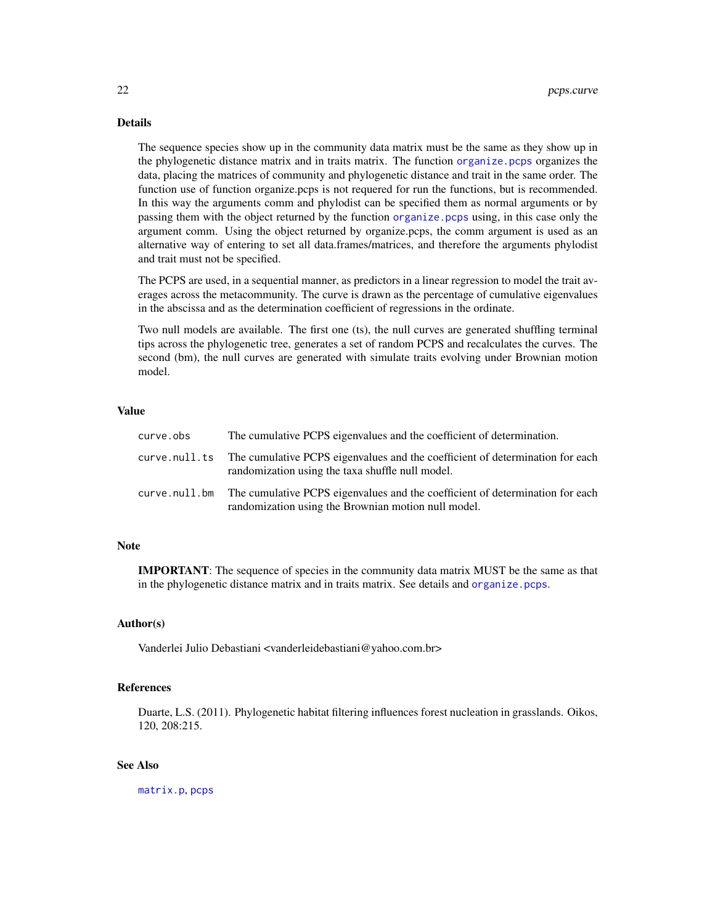## <span id="page-21-0"></span>Details

The sequence species show up in the community data matrix must be the same as they show up in the phylogenetic distance matrix and in traits matrix. The function [organize.pcps](#page-12-1) organizes the data, placing the matrices of community and phylogenetic distance and trait in the same order. The function use of function organize.pcps is not requered for run the functions, but is recommended. In this way the arguments comm and phylodist can be specified them as normal arguments or by passing them with the object returned by the function [organize.pcps](#page-12-1) using, in this case only the argument comm. Using the object returned by organize.pcps, the comm argument is used as an alternative way of entering to set all data.frames/matrices, and therefore the arguments phylodist and trait must not be specified.

The PCPS are used, in a sequential manner, as predictors in a linear regression to model the trait averages across the metacommunity. The curve is drawn as the percentage of cumulative eigenvalues in the abscissa and as the determination coefficient of regressions in the ordinate.

Two null models are available. The first one (ts), the null curves are generated shuffling terminal tips across the phylogenetic tree, generates a set of random PCPS and recalculates the curves. The second (bm), the null curves are generated with simulate traits evolving under Brownian motion model.

## Value

| curve.obs | The cumulative PCPS eigenvalues and the coefficient of determination.                                                                              |
|-----------|----------------------------------------------------------------------------------------------------------------------------------------------------|
|           | curve.null.ts The cumulative PCPS eigenvalues and the coefficient of determination for each<br>randomization using the taxa shuffle null model.    |
|           | curve.null.bm The cumulative PCPS eigenvalues and the coefficient of determination for each<br>randomization using the Brownian motion null model. |

## Note

IMPORTANT: The sequence of species in the community data matrix MUST be the same as that in the phylogenetic distance matrix and in traits matrix. See details and [organize.pcps](#page-12-1).

## Author(s)

Vanderlei Julio Debastiani <vanderleidebastiani@yahoo.com.br>

## References

Duarte, L.S. (2011). Phylogenetic habitat filtering influences forest nucleation in grasslands. Oikos, 120, 208:215.

## See Also

[matrix.p](#page-0-0), [pcps](#page-16-1)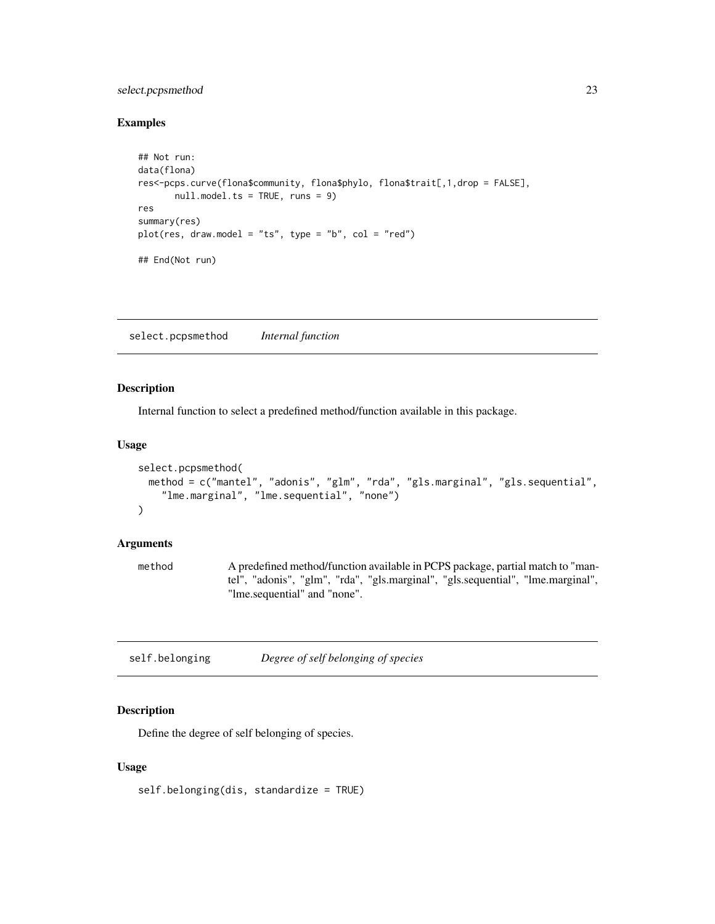## <span id="page-22-0"></span>select.pcpsmethod 23

## Examples

```
## Not run:
data(flona)
res<-pcps.curve(flona$community, flona$phylo, flona$trait[,1,drop = FALSE],
       null.model.ts = TRUE, runs = 9)
res
summary(res)
plot(res, draw.model = "ts", type = "b", col = "red")## End(Not run)
```
select.pcpsmethod *Internal function*

#### Description

Internal function to select a predefined method/function available in this package.

## Usage

```
select.pcpsmethod(
 method = c("mantel", "adonis", "glm", "rda", "gls.marginal", "gls.sequential",
    "lme.marginal", "lme.sequential", "none")
\mathcal{L}
```
#### Arguments

method A predefined method/function available in PCPS package, partial match to "mantel", "adonis", "glm", "rda", "gls.marginal", "gls.sequential", "lme.marginal", "lme.sequential" and "none".

| self.belonging | Degree of self belonging of species |
|----------------|-------------------------------------|
|----------------|-------------------------------------|

## Description

Define the degree of self belonging of species.

#### Usage

self.belonging(dis, standardize = TRUE)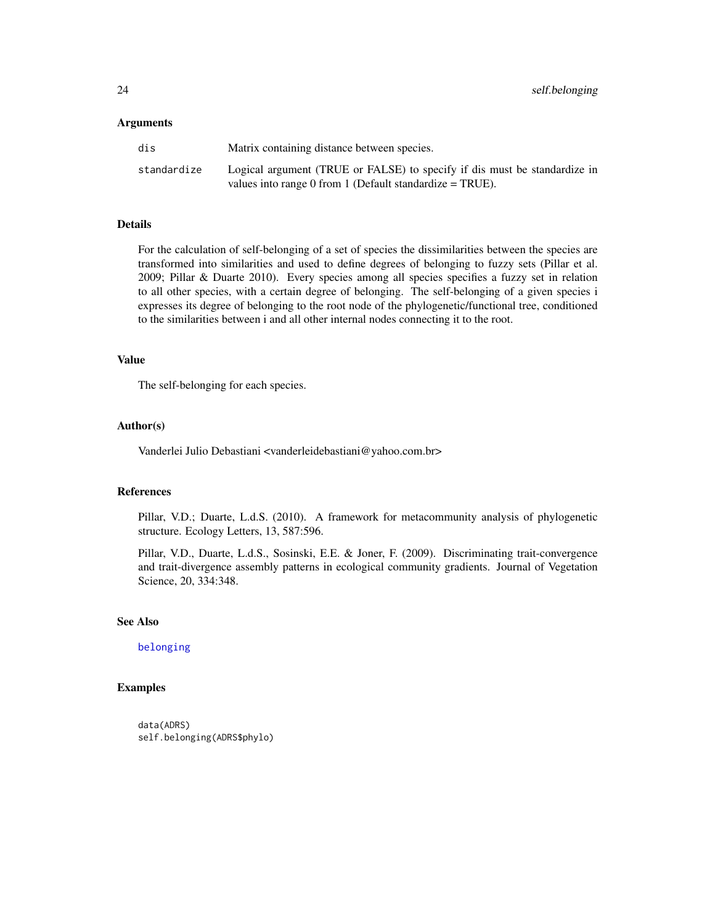#### <span id="page-23-0"></span>Arguments

| dis         | Matrix containing distance between species.                               |
|-------------|---------------------------------------------------------------------------|
| standardize | Logical argument (TRUE or FALSE) to specify if dis must be standardize in |
|             | values into range 0 from 1 (Default standardize $= TRUE$ ).               |

#### Details

For the calculation of self-belonging of a set of species the dissimilarities between the species are transformed into similarities and used to define degrees of belonging to fuzzy sets (Pillar et al. 2009; Pillar & Duarte 2010). Every species among all species specifies a fuzzy set in relation to all other species, with a certain degree of belonging. The self-belonging of a given species i expresses its degree of belonging to the root node of the phylogenetic/functional tree, conditioned to the similarities between i and all other internal nodes connecting it to the root.

#### Value

The self-belonging for each species.

#### Author(s)

Vanderlei Julio Debastiani <vanderleidebastiani@yahoo.com.br>

#### References

Pillar, V.D.; Duarte, L.d.S. (2010). A framework for metacommunity analysis of phylogenetic structure. Ecology Letters, 13, 587:596.

Pillar, V.D., Duarte, L.d.S., Sosinski, E.E. & Joner, F. (2009). Discriminating trait-convergence and trait-divergence assembly patterns in ecological community gradients. Journal of Vegetation Science, 20, 334:348.

#### See Also

[belonging](#page-0-0)

## Examples

```
data(ADRS)
self.belonging(ADRS$phylo)
```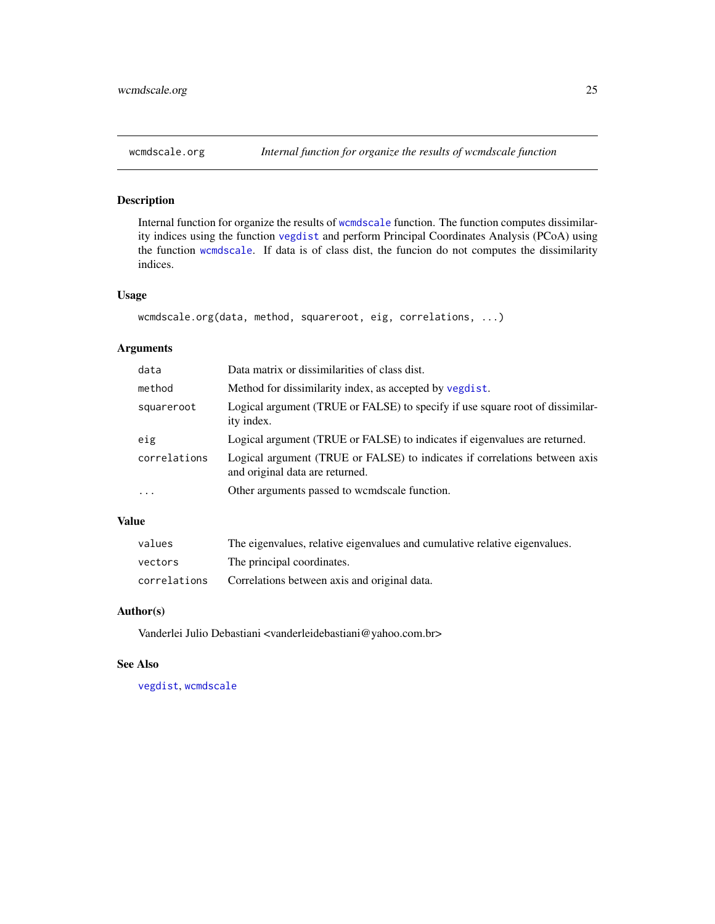## <span id="page-24-0"></span>Description

Internal function for organize the results of [wcmdscale](#page-0-0) function. The function computes dissimilarity indices using the function [vegdist](#page-0-0) and perform Principal Coordinates Analysis (PCoA) using the function [wcmdscale](#page-0-0). If data is of class dist, the funcion do not computes the dissimilarity indices.

## Usage

```
wcmdscale.org(data, method, squareroot, eig, correlations, ...)
```
## Arguments

| data         | Data matrix or dissimilarities of class dist.                                                                 |
|--------------|---------------------------------------------------------------------------------------------------------------|
| method       | Method for dissimilarity index, as accepted by vegdist.                                                       |
| squareroot   | Logical argument (TRUE or FALSE) to specify if use square root of dissimilar-<br>ity index.                   |
| eig          | Logical argument (TRUE or FALSE) to indicates if eigenvalues are returned.                                    |
| correlations | Logical argument (TRUE or FALSE) to indicates if correlations between axis<br>and original data are returned. |
| $\ddots$ .   | Other arguments passed to wormdscale function.                                                                |
|              |                                                                                                               |

## Value

| values       | The eigenvalues, relative eigenvalues and cumulative relative eigenvalues. |
|--------------|----------------------------------------------------------------------------|
| vectors      | The principal coordinates.                                                 |
| correlations | Correlations between axis and original data.                               |

## Author(s)

Vanderlei Julio Debastiani <vanderleidebastiani@yahoo.com.br>

#### See Also

[vegdist](#page-0-0), [wcmdscale](#page-0-0)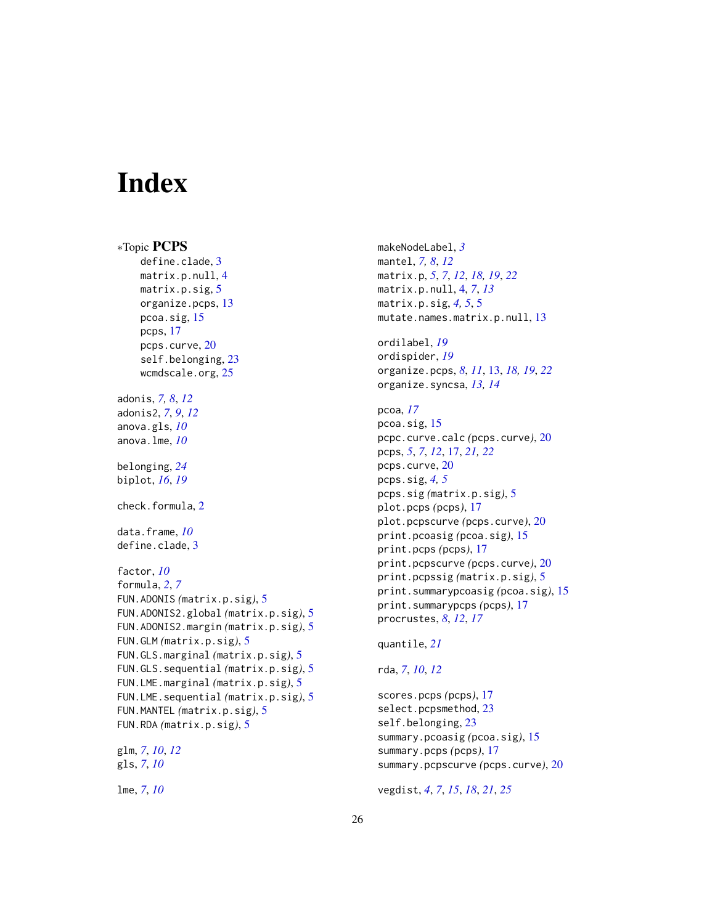# <span id="page-25-0"></span>**Index**

```
∗Topic PCPS
    define.clade, 3
    matrix.p.null, 4
    matrix.p.sig, 5
    organize.pcps, 13
    pcoa.sig, 15
    pcps, 17
    pcps.curve, 20
    self.belonging, 23
    wcmdscale.org, 25
adonis, 7, 8, 12
adonis2, 7, 9, 12
anova.gls, 10
anova.lme, 10
belonging, 24
biplot, 16, 19
check.formula, 2
data.frame, 10
define.clade, 3
factor, 10
formula, 2, 7
FUN.ADONIS (matrix.p.sig), 5
FUN.ADONIS2.global (matrix.p.sig), 5
FUN.ADONIS2.margin (matrix.p.sig), 5
FUN.GLM (matrix.p.sig), 5
FUN.GLS.marginal (matrix.p.sig), 5
FUN.GLS.sequential (matrix.p.sig), 5
FUN.LME.marginal (matrix.p.sig), 5
FUN.LME.sequential (matrix.p.sig), 5
FUN.MANTEL (matrix.p.sig), 5
FUN.RDA (matrix.p.sig), 5
glm, 7, 10, 12
gls, 7, 10
lme, 7, 10
```
makeNodeLabel, *[3](#page-2-0)* mantel, *[7,](#page-6-0) [8](#page-7-0)*, *[12](#page-11-0)* matrix.p, *[5](#page-4-0)*, *[7](#page-6-0)*, *[12](#page-11-0)*, *[18,](#page-17-0) [19](#page-18-0)*, *[22](#page-21-0)* matrix.p.null, [4,](#page-3-0) *[7](#page-6-0)*, *[13](#page-12-0)* matrix.p.sig, *[4,](#page-3-0) [5](#page-4-0)*, [5](#page-4-0) mutate.names.matrix.p.null, [13](#page-12-0) ordilabel, *[19](#page-18-0)* ordispider, *[19](#page-18-0)*

organize.pcps, *[8](#page-7-0)*, *[11](#page-10-0)*, [13,](#page-12-0) *[18,](#page-17-0) [19](#page-18-0)*, *[22](#page-21-0)* organize.syncsa, *[13,](#page-12-0) [14](#page-13-0)*

```
pcoa, 17
pcoa.sig, 15
pcpc.curve.calc (pcps.curve), 20
pcps, 5, 7, 12, 17, 21, 22
pcps.curve, 20
pcps.sig, 4, 5
pcps.sig (matrix.p.sig), 5
plot.pcps (pcps), 17
plot.pcpscurve (pcps.curve), 20
print.pcoasig (pcoa.sig), 15
print.pcps (pcps), 17
print.pcpscurve (pcps.curve), 20
print.pcpssig (matrix.p.sig), 5
print.summarypcoasig (pcoa.sig), 15
print.summarypcps (pcps), 17
procrustes, 8, 12, 17
```

```
quantile, 21
```

```
rda, 7, 10, 12
```
scores.pcps *(*pcps*)*, [17](#page-16-0) select.pcpsmethod, [23](#page-22-0) self.belonging, [23](#page-22-0) summary.pcoasig *(*pcoa.sig*)*, [15](#page-14-0) summary.pcps *(*pcps*)*, [17](#page-16-0) summary.pcpscurve *(*pcps.curve*)*, [20](#page-19-0)

vegdist, *[4](#page-3-0)*, *[7](#page-6-0)*, *[15](#page-14-0)*, *[18](#page-17-0)*, *[21](#page-20-0)*, *[25](#page-24-0)*